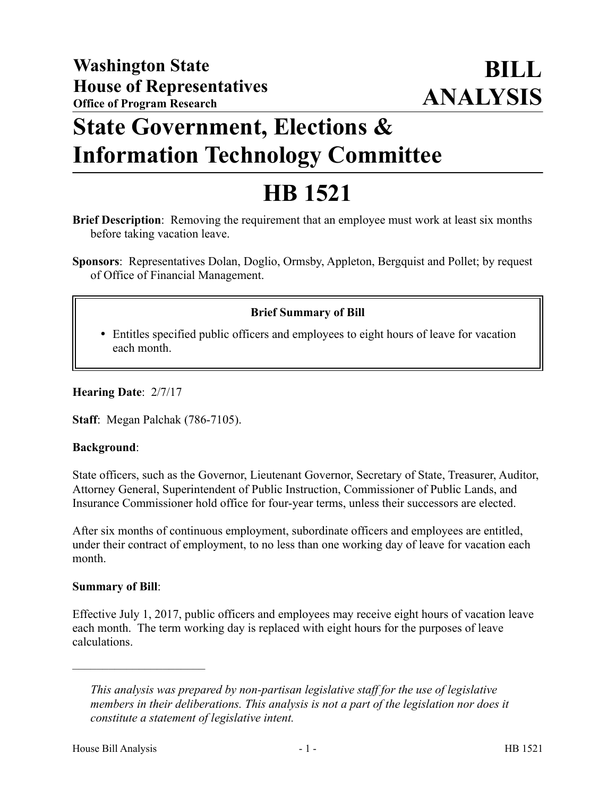## **State Government, Elections & Information Technology Committee**

# **HB 1521**

**Brief Description**: Removing the requirement that an employee must work at least six months before taking vacation leave.

**Sponsors**: Representatives Dolan, Doglio, Ormsby, Appleton, Bergquist and Pollet; by request of Office of Financial Management.

### **Brief Summary of Bill**

 Entitles specified public officers and employees to eight hours of leave for vacation each month.

**Hearing Date**: 2/7/17

**Staff**: Megan Palchak (786-7105).

#### **Background**:

State officers, such as the Governor, Lieutenant Governor, Secretary of State, Treasurer, Auditor, Attorney General, Superintendent of Public Instruction, Commissioner of Public Lands, and Insurance Commissioner hold office for four-year terms, unless their successors are elected.

After six months of continuous employment, subordinate officers and employees are entitled, under their contract of employment, to no less than one working day of leave for vacation each month.

#### **Summary of Bill**:

––––––––––––––––––––––

Effective July 1, 2017, public officers and employees may receive eight hours of vacation leave each month. The term working day is replaced with eight hours for the purposes of leave calculations.

*This analysis was prepared by non-partisan legislative staff for the use of legislative members in their deliberations. This analysis is not a part of the legislation nor does it constitute a statement of legislative intent.*